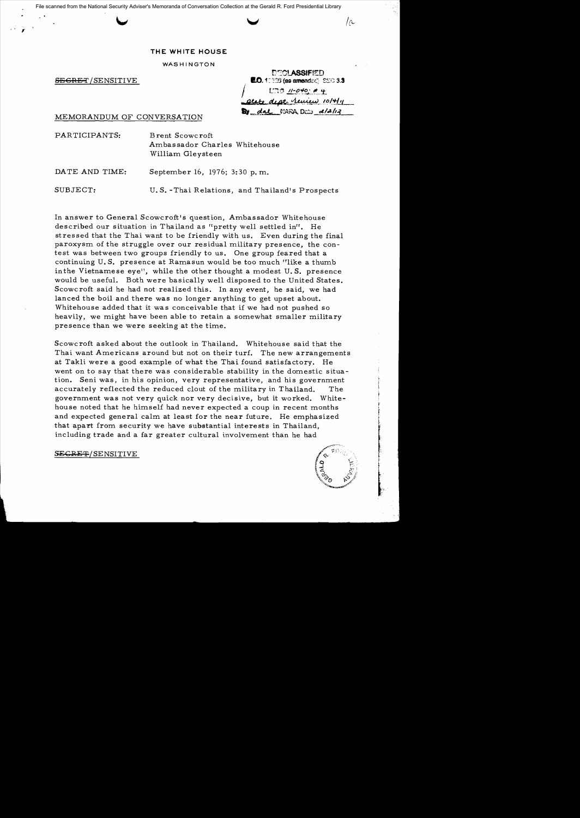File scanned from the National Security Adviser's Memoranda of Conversation Collection at the Gerald R. Ford Presidential Library

## **THE WHITE HOUSE**

WASHINGTON

,

DECI ASSIFIED **SECRET/SENSITIVE <b>ed. ed. ed. ed. ed. ed. ed. ed. ed. ed. ed. ed. ed. ed. ed. ed. ed. ed. ed. ed. ed. ed. ed. ed. ed. ed. ed. ed. ed. ed. ed. ed. ed. ed.**  $1.73$   $11-0.40$ ; # 4 tate deat *review* 10/4/11

*/e"* 

MEMORANDUM OF CONVERSATION **By** dal MARA, Dcb a/2/12

PARTICIPANTS: Brent Scowcroft Ambas sador Charles Whitehouse William Gleysteen

DATE AND TIME: September 16, 1976; 3:30 p.m.

SUBJECT: U. S. -Thai Relations, and Thailand's Prospects

In answer to General Scowcroft's question, Ambassador Whitehouse described our situation in Thailand as "pretty well settled in". He stressed that the Thai want to be friendly with us. Even during the final paroxysm of the struggle over our residual military presence, the contest was between two groups friendly to us. One group feared that a continuing U.S. presence at Ramasun would be too much "like a thumb inthe Vietnamese eye", while the other thought a modest U. S. presence would be useful. Both were basically well disposed to the United States. Scowcroft said he had not realized this. In any event, he said, we had lanced the boil and there was no longer anything to get upset about. Whitehouse added that it was conceivable that if we had not pushed so heavily, we might have been able to retain a somewhat smaller military presence than we were seeking at the time.

Scowcroft asked about the outlook in Thailand. Whitehouse said that the Thai want Americans around but not on their turf. The new arrangements at Takli were a good example of what the Thai found satisfactory. He went on to say that there was considerable stability in the domestic situation. Seni was, in his opinion, very representative, and his government accurately reflected the reduced clout of the military in Thailand. The government was not very quick nor very decisive, but it worked. Whitehouse noted that he himself had never expected a coup in recent months and expected general calm at least for the near future. He emphasized that apart from security we have substantial interests in Thailand, including trade and a far greater cultural involvement than he had

SECRET/SENSITIVE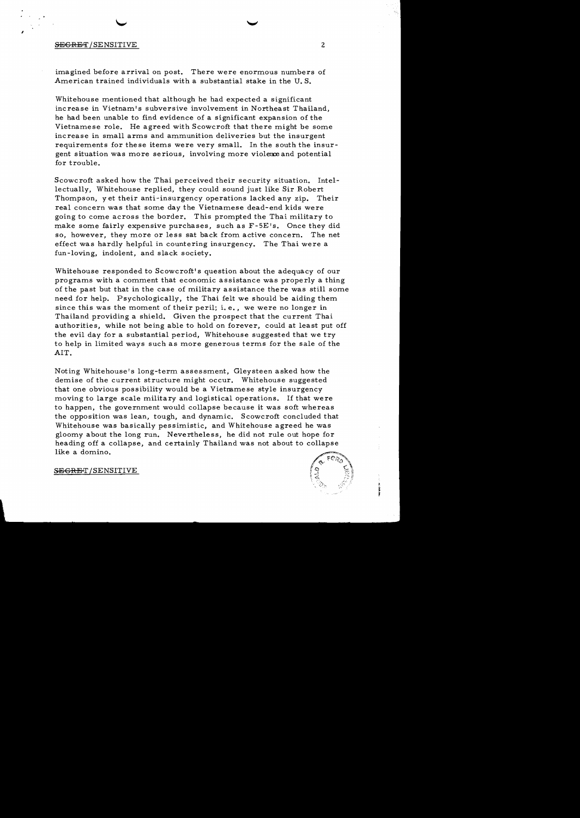## SECRET/SENSITIVE 2

,

imagined before arrival on post. There were enormous numbers of American trained individuals with a substantial stake in the U. S.

Whitehouse mentioned that although he had expected a significant increase in Vietnam's subversive involvement in Northeast Thailand, he had been unable to find evidence of a significant expansion of the Vietnamese role. He agreed with Scowcroft that there might be some increase in small arms and ammunition deliveries but the insurgent requirements for these items were very small. In the south the insurgent situation was more serious, involving more violence and potential for trouble.

Scowcroft asked how the Thai perceived their security situation. Intellectually, Whitehouse replied, they could sound just like Sir Robert Thompson, yet their anti-insurgency operations lacked any zip. Their real concern was that some day the Vietnamese dead-end kids were going to come across the border. This prompted the Thai military to make some fairly expensive purchases, such as F-SE's. Once they did so, however, they more or less sat back from active concern. The net effect was hardly helpful in countering insurgency. The Thai were a fun-loving, indolent, and slack society.

Whitehouse responded to Scowcroft's question about the adequacy of our programs with a comment that economic assistance was properly a thing of the past but that in the case of military assistance there was still some need for help. Psychologically, the Thai felt we should be aiding them since this was the moment of their peril; i. e., we were no longer in Thailand providing a shield. Given the prospect that the current Thai authorities, while not being able to hold on forever, could at least put off the evil day for a substantial period, Whitehouse suggested that we try to help in limited ways such as more generous terms for the sale of the AlT.

Noting Whitehouse's long-term assessment, Gleysteen asked how the demise of the current structure might occur. Whitehouse suggested that one obvious possibility would be a Vietmmese style insurgency moving to large scale military and logistical operations. If that were to happen, the government would collapse because it was soft whereas the opposition was lean, tough, and dynamic. Scowcroft concluded that Whitehouse was basically pessimistic, and Whitehouse agreed he was gloomy about the long run. Nevertheless, he did not rule out hope for heading off a collapse, and certainly Thailand was not about to collapse like a domino.



SEGRET/SENSITIVE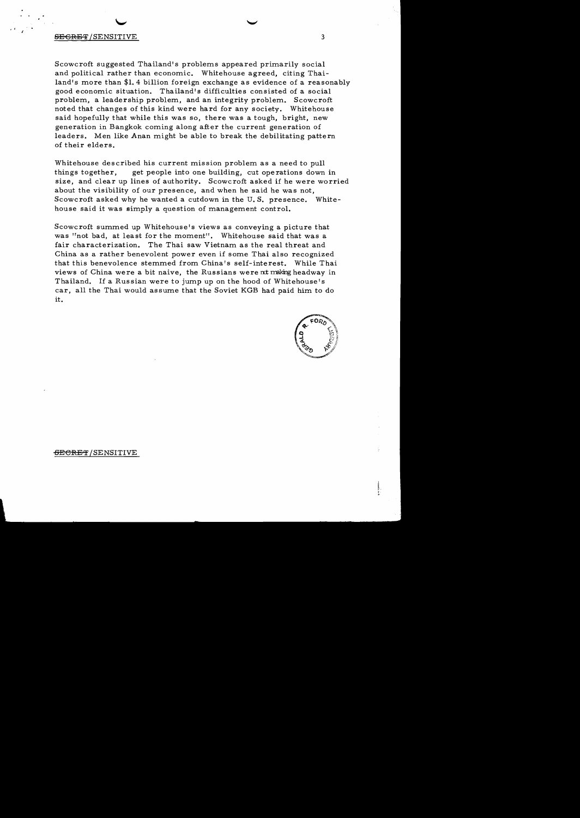## **SECRET** /SENSITIVE 3

, , ,

Scowcroft suggested Thailand's problems appeared primarily social and political rather than economic. Whitehouse agreed, citing Thailand's more than \$1. 4 billion foreign exchange as evidence of a reasonably good economic situation. Thailand's difficulties consisted of a social problem, a leadership problem, and an integrity problem. Scowcroft noted that changes of this kind were hard for any society. Whitehouse said hopefully that while this was so, there was a tough, bright, new generation in Bangkok coming along after the current generation of leaders. Men like Anan might be able to break the debilitating pattern of their elders.

Whitehouse described his current mission problem as a need to pull things together, get people into one building, cut ope rations down in size, and clear up lines of authority. Scowcroft asked if he were worried about the visibility of our presence, and when he said he was not, Scowcroft asked why he wanted a cutdown in the U. S. presence. Whitehouse said it was simply a question of management control.

Scowcroft summed up Whitehouse's views as conveying a picture that was "not bad, at least for the moment". Whitehouse said that was a fair characterization. The Thai saw Vietnam as the real threat and China as a rather benevolent power even if some Thai also recognized that this benevolence stemmed from China's self-interest. While Thai views of China were a bit naive, the Russians were nt making headway in Thailand. If a Russian were to jump up on the hood of Whitehouse's car, all the Thai would assume that the Soviet KGB had paid him to do it.



<del>SECRET</del>/SENSITIVE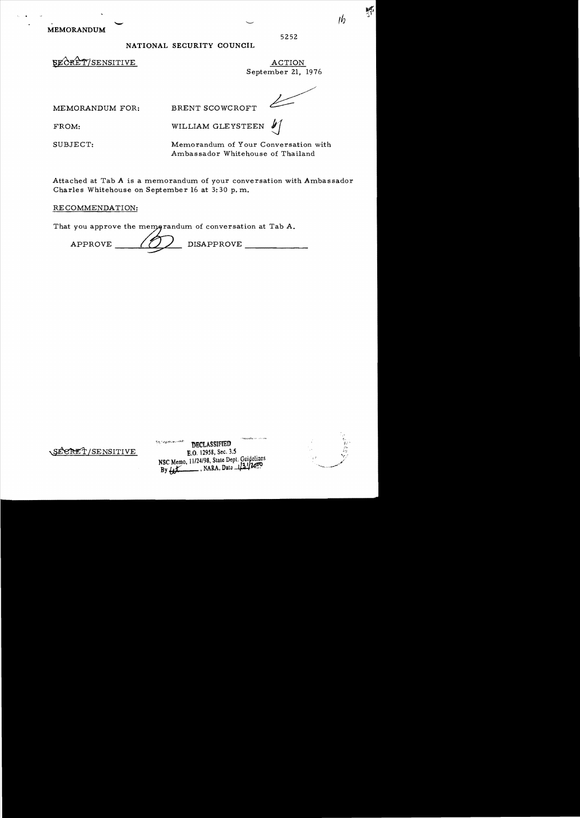MEMORANDUM

## NATIONAL SECURITY COUNCIL

SECRET/SENSITIVE ACTION

September 21, 1976

5252

, *If)* 

변

MEMORANDUM FOR: BRENT SCOWCROFT

FROM: WILLIAM GLEYSTEEN  $\mathcal{Y}$ 

SUBJECT: Memorandum of Your Conversation with Ambassador Whitehouse of Thailand

Attached at Tab A is a memorandum of your conversation with Ambassador Charles Whitehouse on September 16 at 3:30 p. m.

RECOMMENDATION:

That you approve the memograndum of conversation at Tab A.

| <b>DISAPPROVE</b><br>APPROVE |  |
|------------------------------|--|
|------------------------------|--|

|                  | 计可控制定语语句 化石 化四十四甲酮                                                            |                                |
|------------------|-------------------------------------------------------------------------------|--------------------------------|
|                  | ් පුද <sub>ු</sub> ද යුද <b>ු</b> පුද්ගල බලා ද පැතිවේ?<br><b>DECLASSIFIED</b> | $\pi_{\text{tr}}$<br>誤し<br>-26 |
| SECRET/SENSITIVE | E.O. 12958, Sec. 3.5                                                          | A.<br>ار سیا                   |
|                  | NSC Memo, 11/24/98, State Dept. Guidelines<br>NARA, Date 121/200<br>By Le     |                                |